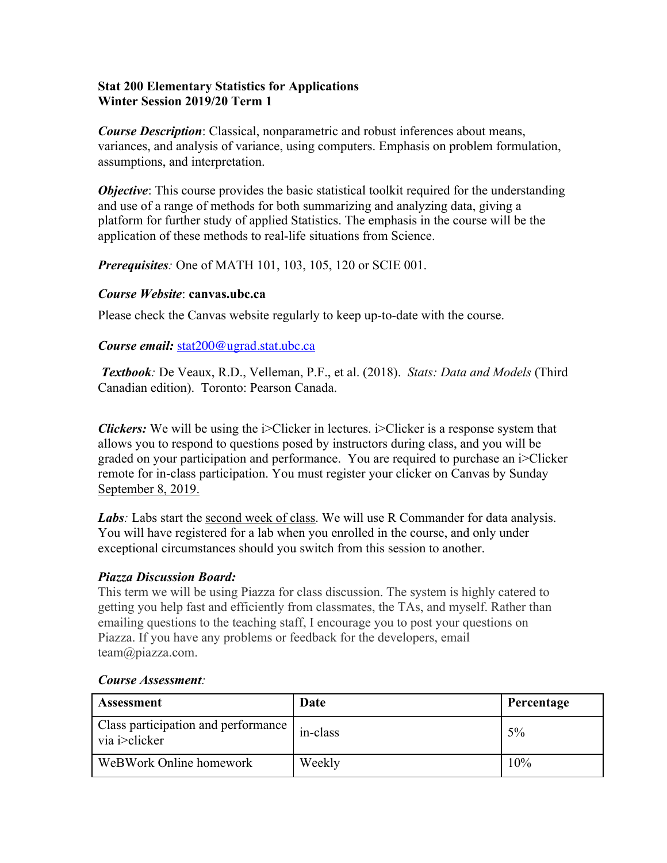## **Stat 200 Elementary Statistics for Applications Winter Session 2019/20 Term 1**

*Course Description*: Classical, nonparametric and robust inferences about means, variances, and analysis of variance, using computers. Emphasis on problem formulation, assumptions, and interpretation.

*Objective*: This course provides the basic statistical toolkit required for the understanding and use of a range of methods for both summarizing and analyzing data, giving a platform for further study of applied Statistics. The emphasis in the course will be the application of these methods to real-life situations from Science.

*Prerequisites:* One of MATH 101, 103, 105, 120 or SCIE 001.

### *Course Website*: **canvas.ubc.ca**

Please check the Canvas website regularly to keep up-to-date with the course.

## *Course email:* stat200@ugrad.stat.ubc.ca

*Textbook:* De Veaux, R.D., Velleman, P.F., et al. (2018). *Stats: Data and Models* (Third Canadian edition). Toronto: Pearson Canada.

*Clickers:* We will be using the i>Clicker in lectures. i>Clicker is a response system that allows you to respond to questions posed by instructors during class, and you will be graded on your participation and performance. You are required to purchase an i>Clicker remote for in-class participation. You must register your clicker on Canvas by Sunday September 8, 2019.

*Labs*: Labs start the second week of class. We will use R Commander for data analysis. You will have registered for a lab when you enrolled in the course, and only under exceptional circumstances should you switch from this session to another.

## *Piazza Discussion Board:*

This term we will be using Piazza for class discussion. The system is highly catered to getting you help fast and efficiently from classmates, the TAs, and myself. Rather than emailing questions to the teaching staff, I encourage you to post your questions on Piazza. If you have any problems or feedback for the developers, email team@piazza.com.

| <b>Assessment</b>                                            | Date     | Percentage |
|--------------------------------------------------------------|----------|------------|
| Class participation and performance<br>via <i>i</i> >clicker | in-class | $5\%$      |
| WeBWork Online homework                                      | Weekly   | 10%        |

#### *Course Assessment:*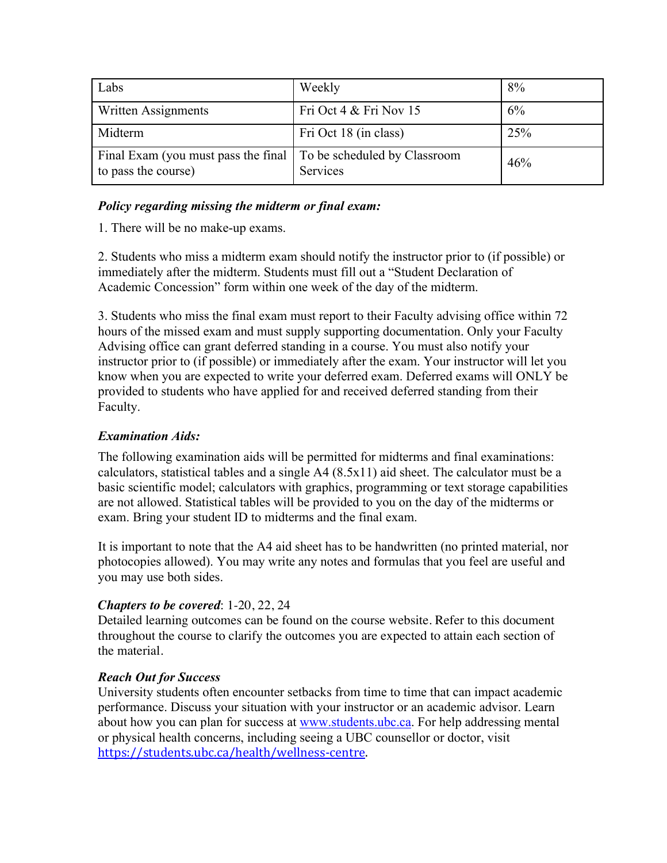| Labs                                                       | Weekly                                   | 8%  |
|------------------------------------------------------------|------------------------------------------|-----|
| Written Assignments                                        | Fri Oct $4 &$ Fri Nov 15                 | 6%  |
| Midterm                                                    | Fri Oct 18 (in class)                    | 25% |
| Final Exam (you must pass the final<br>to pass the course) | To be scheduled by Classroom<br>Services | 46% |

## *Policy regarding missing the midterm or final exam:*

1. There will be no make-up exams.

2. Students who miss a midterm exam should notify the instructor prior to (if possible) or immediately after the midterm. Students must fill out a "Student Declaration of Academic Concession" form within one week of the day of the midterm.

3. Students who miss the final exam must report to their Faculty advising office within 72 hours of the missed exam and must supply supporting documentation. Only your Faculty Advising office can grant deferred standing in a course. You must also notify your instructor prior to (if possible) or immediately after the exam. Your instructor will let you know when you are expected to write your deferred exam. Deferred exams will ONLY be provided to students who have applied for and received deferred standing from their Faculty.

# *Examination Aids:*

The following examination aids will be permitted for midterms and final examinations: calculators, statistical tables and a single A4 (8.5x11) aid sheet. The calculator must be a basic scientific model; calculators with graphics, programming or text storage capabilities are not allowed. Statistical tables will be provided to you on the day of the midterms or exam. Bring your student ID to midterms and the final exam.

It is important to note that the A4 aid sheet has to be handwritten (no printed material, nor photocopies allowed). You may write any notes and formulas that you feel are useful and you may use both sides.

## *Chapters to be covered*: 1-20, 22, 24

Detailed learning outcomes can be found on the course website. Refer to this document throughout the course to clarify the outcomes you are expected to attain each section of the material.

## *Reach Out for Success*

University students often encounter setbacks from time to time that can impact academic performance. Discuss your situation with your instructor or an academic advisor. Learn about how you can plan for success at www.students.ubc.ca. For help addressing mental or physical health concerns, including seeing a UBC counsellor or doctor, visit https://students.ubc.ca/health/wellness-centre.